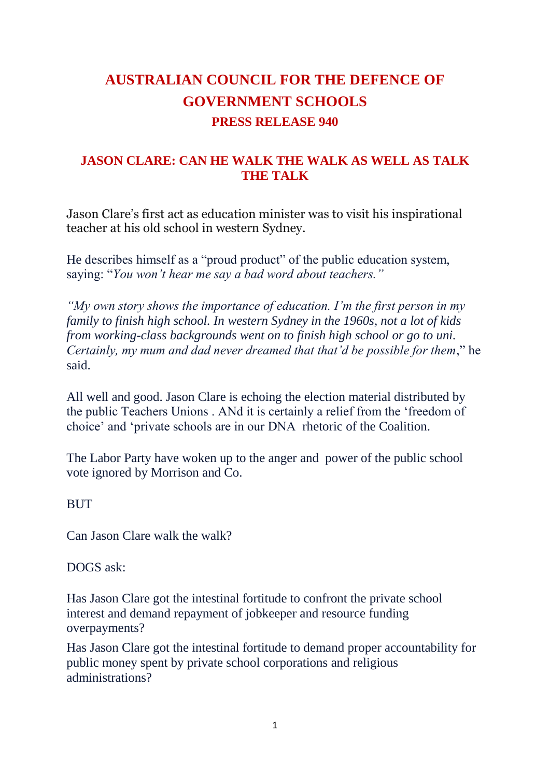## **AUSTRALIAN COUNCIL FOR THE DEFENCE OF GOVERNMENT SCHOOLS PRESS RELEASE 940**

## **JASON CLARE: CAN HE WALK THE WALK AS WELL AS TALK THE TALK**

Jason Clare's first act as education minister was to visit his inspirational teacher at his old school in western Sydney.

He describes himself as a "proud product" of the public education system, saying: "*You won't hear me say a bad word about teachers."*

*"My own story shows the importance of education. I'm the first person in my family to finish high school. In western Sydney in the 1960s, not a lot of kids from working-class backgrounds went on to finish high school or go to uni. Certainly, my mum and dad never dreamed that that'd be possible for them*," he said.

All well and good. Jason Clare is echoing the election material distributed by the public Teachers Unions . ANd it is certainly a relief from the 'freedom of choice' and 'private schools are in our DNA rhetoric of the Coalition.

The Labor Party have woken up to the anger and power of the public school vote ignored by Morrison and Co.

## **BUT**

Can Jason Clare walk the walk?

DOGS ask:

Has Jason Clare got the intestinal fortitude to confront the private school interest and demand repayment of jobkeeper and resource funding overpayments?

Has Jason Clare got the intestinal fortitude to demand proper accountability for public money spent by private school corporations and religious administrations?